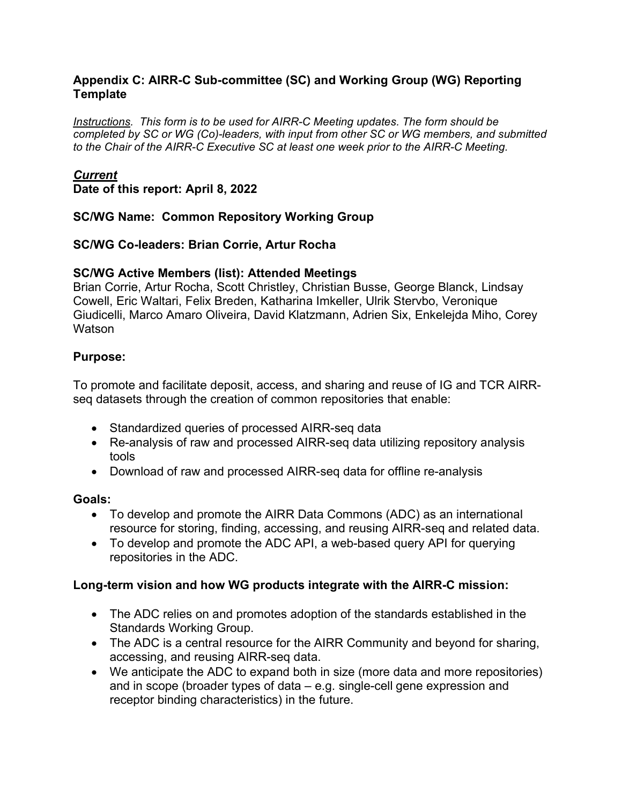#### **Appendix C: AIRR-C Sub-committee (SC) and Working Group (WG) Reporting Template**

*Instructions. This form is to be used for AIRR-C Meeting updates. The form should be completed by SC or WG (Co)-leaders, with input from other SC or WG members, and submitted to the Chair of the AIRR-C Executive SC at least one week prior to the AIRR-C Meeting.*

#### *Current*

**Date of this report: April 8, 2022**

### **SC/WG Name: Common Repository Working Group**

### **SC/WG Co-leaders: Brian Corrie, Artur Rocha**

### **SC/WG Active Members (list): Attended Meetings**

Brian Corrie, Artur Rocha, Scott Christley, Christian Busse, George Blanck, Lindsay Cowell, Eric Waltari, Felix Breden, Katharina Imkeller, Ulrik Stervbo, Veronique Giudicelli, Marco Amaro Oliveira, David Klatzmann, Adrien Six, Enkelejda Miho, Corey **Watson** 

### **Purpose:**

To promote and facilitate deposit, access, and sharing and reuse of IG and TCR AIRRseq datasets through the creation of common repositories that enable:

- Standardized queries of processed AIRR-seq data
- Re-analysis of raw and processed AIRR-seq data utilizing repository analysis tools
- Download of raw and processed AIRR-seq data for offline re-analysis

#### **Goals:**

- To develop and promote the AIRR Data Commons (ADC) as an international resource for storing, finding, accessing, and reusing AIRR-seq and related data.
- To develop and promote the ADC API, a web-based query API for querying repositories in the ADC.

#### **Long-term vision and how WG products integrate with the AIRR-C mission:**

- The ADC relies on and promotes adoption of the standards established in the Standards Working Group.
- The ADC is a central resource for the AIRR Community and beyond for sharing, accessing, and reusing AIRR-seq data.
- We anticipate the ADC to expand both in size (more data and more repositories) and in scope (broader types of data – e.g. single-cell gene expression and receptor binding characteristics) in the future.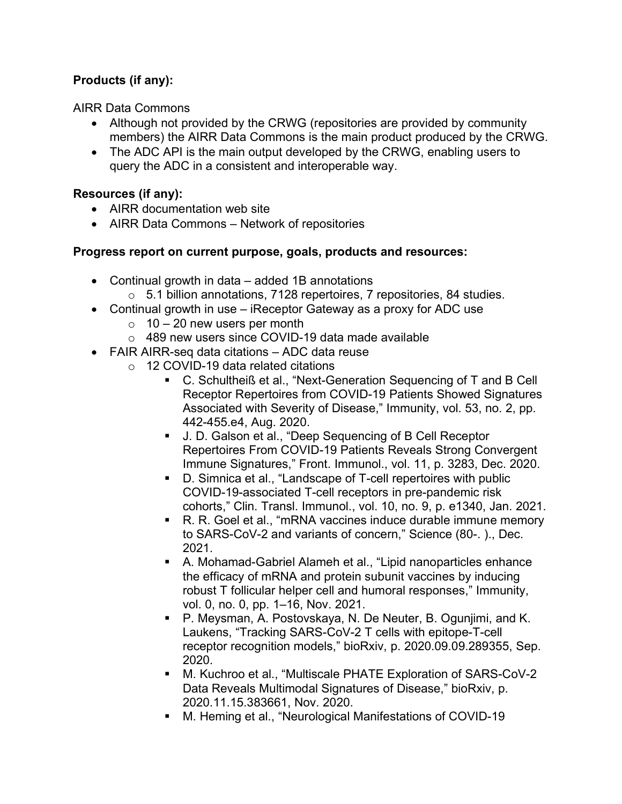# **Products (if any):**

AIRR Data Commons

- Although not provided by the CRWG (repositories are provided by community members) the AIRR Data Commons is the main product produced by the CRWG.
- The ADC API is the main output developed by the CRWG, enabling users to query the ADC in a consistent and interoperable way.

### **Resources (if any):**

- AIRR documentation web site
- AIRR Data Commons Network of repositories

#### **Progress report on current purpose, goals, products and resources:**

- Continual growth in data added 1B annotations
	- o 5.1 billion annotations, 7128 repertoires, 7 repositories, 84 studies.
- Continual growth in use iReceptor Gateway as a proxy for ADC use
	- $\circ$  10 20 new users per month
	- o 489 new users since COVID-19 data made available
- FAIR AIRR-seq data citations ADC data reuse
	- o 12 COVID-19 data related citations
		- C. Schultheiß et al., "Next-Generation Sequencing of T and B Cell Receptor Repertoires from COVID-19 Patients Showed Signatures Associated with Severity of Disease," Immunity, vol. 53, no. 2, pp. 442-455.e4, Aug. 2020.
		- J. D. Galson et al., "Deep Sequencing of B Cell Receptor Repertoires From COVID-19 Patients Reveals Strong Convergent Immune Signatures," Front. Immunol., vol. 11, p. 3283, Dec. 2020.
		- D. Simnica et al., "Landscape of T-cell repertoires with public COVID-19-associated T-cell receptors in pre-pandemic risk cohorts," Clin. Transl. Immunol., vol. 10, no. 9, p. e1340, Jan. 2021.
		- R. R. Goel et al., "mRNA vaccines induce durable immune memory to SARS-CoV-2 and variants of concern," Science (80-. )., Dec. 2021.
		- A. Mohamad-Gabriel Alameh et al., "Lipid nanoparticles enhance the efficacy of mRNA and protein subunit vaccines by inducing robust T follicular helper cell and humoral responses," Immunity, vol. 0, no. 0, pp. 1–16, Nov. 2021.
		- P. Meysman, A. Postovskaya, N. De Neuter, B. Ogunjimi, and K. Laukens, "Tracking SARS-CoV-2 T cells with epitope-T-cell receptor recognition models," bioRxiv, p. 2020.09.09.289355, Sep. 2020.
		- M. Kuchroo et al., "Multiscale PHATE Exploration of SARS-CoV-2 Data Reveals Multimodal Signatures of Disease," bioRxiv, p. 2020.11.15.383661, Nov. 2020.
		- M. Heming et al., "Neurological Manifestations of COVID-19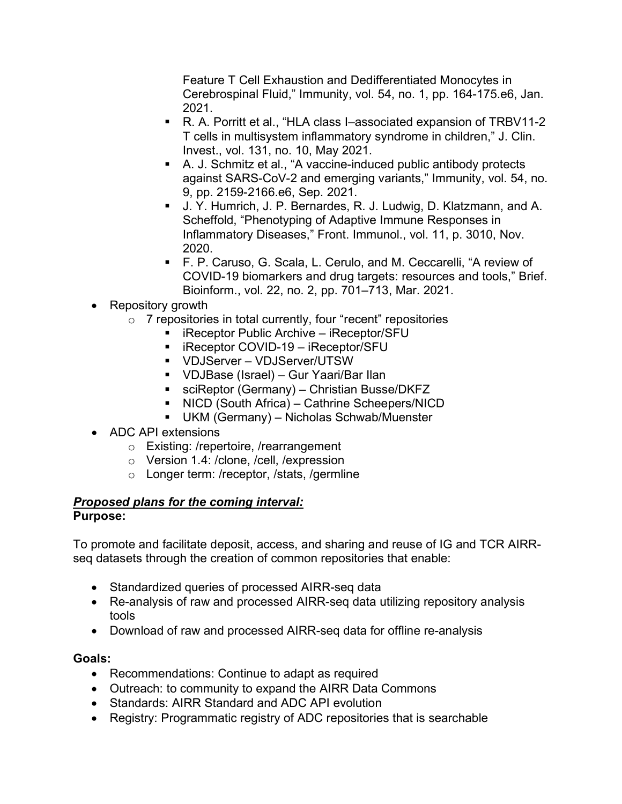Feature T Cell Exhaustion and Dedifferentiated Monocytes in Cerebrospinal Fluid," Immunity, vol. 54, no. 1, pp. 164-175.e6, Jan. 2021.

- R. A. Porritt et al., "HLA class I–associated expansion of TRBV11-2 T cells in multisystem inflammatory syndrome in children," J. Clin. Invest., vol. 131, no. 10, May 2021.
- A. J. Schmitz et al., "A vaccine-induced public antibody protects against SARS-CoV-2 and emerging variants," Immunity, vol. 54, no. 9, pp. 2159-2166.e6, Sep. 2021.
- J. Y. Humrich, J. P. Bernardes, R. J. Ludwig, D. Klatzmann, and A. Scheffold, "Phenotyping of Adaptive Immune Responses in Inflammatory Diseases," Front. Immunol., vol. 11, p. 3010, Nov. 2020.
- F. P. Caruso, G. Scala, L. Cerulo, and M. Ceccarelli, "A review of COVID-19 biomarkers and drug targets: resources and tools," Brief. Bioinform., vol. 22, no. 2, pp. 701–713, Mar. 2021.

# • Repository growth

- $\circ$  7 repositories in total currently, four "recent" repositories
	- $\blacksquare$  iReceptor Public Archive iReceptor/SFU
	- iReceptor COVID-19 iReceptor/SFU
	- VDJServer VDJServer/UTSW
	- VDJBase (Israel) Gur Yaari/Bar Ilan
	- sciReptor (Germany) Christian Busse/DKFZ
	- NICD (South Africa) Cathrine Scheepers/NICD
	- UKM (Germany) Nicholas Schwab/Muenster
- ADC API extensions
	- o Existing: /repertoire, /rearrangement
	- o Version 1.4: /clone, /cell, /expression
	- o Longer term: /receptor, /stats, /germline

#### *Proposed plans for the coming interval:* **Purpose:**

To promote and facilitate deposit, access, and sharing and reuse of IG and TCR AIRRseq datasets through the creation of common repositories that enable:

- Standardized queries of processed AIRR-seq data
- Re-analysis of raw and processed AIRR-seq data utilizing repository analysis tools
- Download of raw and processed AIRR-seq data for offline re-analysis

# **Goals:**

- Recommendations: Continue to adapt as required
- Outreach: to community to expand the AIRR Data Commons
- Standards: AIRR Standard and ADC API evolution
- Registry: Programmatic registry of ADC repositories that is searchable